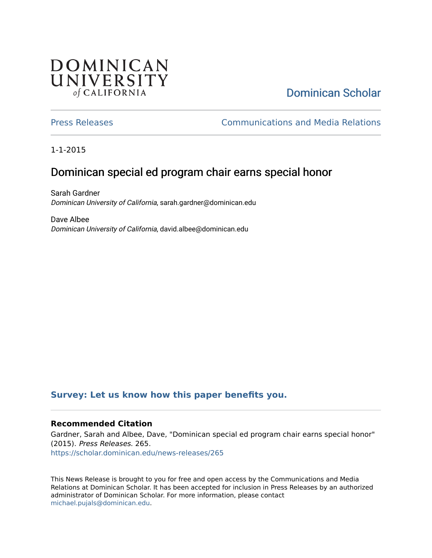## **DOMINICAN** UNIVERSITY of CALIFORNIA

# [Dominican Scholar](https://scholar.dominican.edu/)

[Press Releases](https://scholar.dominican.edu/news-releases) [Communications and Media Relations](https://scholar.dominican.edu/communications-media) 

1-1-2015

## Dominican special ed program chair earns special honor

Sarah Gardner Dominican University of California, sarah.gardner@dominican.edu

Dave Albee Dominican University of California, david.albee@dominican.edu

#### **[Survey: Let us know how this paper benefits you.](https://dominican.libwizard.com/dominican-scholar-feedback)**

#### **Recommended Citation**

Gardner, Sarah and Albee, Dave, "Dominican special ed program chair earns special honor" (2015). Press Releases. 265. [https://scholar.dominican.edu/news-releases/265](https://scholar.dominican.edu/news-releases/265?utm_source=scholar.dominican.edu%2Fnews-releases%2F265&utm_medium=PDF&utm_campaign=PDFCoverPages)

This News Release is brought to you for free and open access by the Communications and Media Relations at Dominican Scholar. It has been accepted for inclusion in Press Releases by an authorized administrator of Dominican Scholar. For more information, please contact [michael.pujals@dominican.edu.](mailto:michael.pujals@dominican.edu)